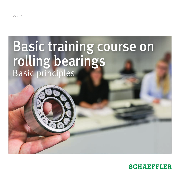SERVICES

# Basic training course on rolling bearings Basic principles

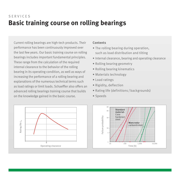# **Basic training course on rolling bearings** SERVICES

Current rolling bearings are high-tech products. Their performance has been continuously improved over the last few years. Our basic training course on rolling bearings includes important fundamental principles. These range from the calculation of the required internal clearance to the behavior of the rolling bearing in its operating condition, as well as ways of increasing the performance of a rolling bearing and explanations of the numerous technical terms such as load ratings or limit loads. Schaeffler also offers an advanced rolling bearings training course that builds on the knowledge gained in the basic course.

#### **Contents**

- The rolling bearing during operation, such as load distribution and tilting
- Internal clearance, bearing and operating clearance
- Rolling bearing geometry
- Rolling bearing kinematics
- Materials technology
- Load ratings
- Rigidity, deflection
- Rating life (definitions / backgrounds)
- Speeds



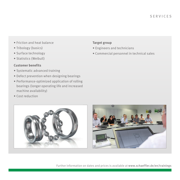- Friction and heat balance
- Tribology (basics)
- Surface technology
- Statistics (Weibull)

### **Customer benefits**

• Cost reduction

- Systematic advanced training
- Defect prevention when designing bearings
- Performance-optimized application of rolling bearings (longer operating life and increased machine availability)
- **Target group**
- Engineers and technicians
- Commercial personnel in technical sales